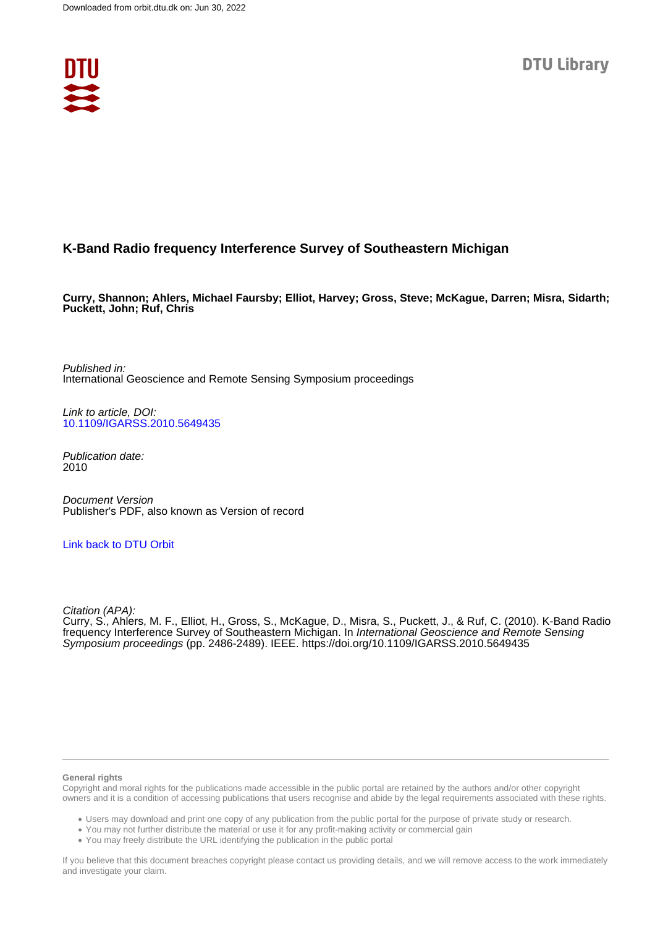

## **K-Band Radio frequency Interference Survey of Southeastern Michigan**

**Curry, Shannon; Ahlers, Michael Faursby; Elliot, Harvey; Gross, Steve; McKague, Darren; Misra, Sidarth; Puckett, John; Ruf, Chris**

Published in: International Geoscience and Remote Sensing Symposium proceedings

Link to article, DOI: [10.1109/IGARSS.2010.5649435](https://doi.org/10.1109/IGARSS.2010.5649435)

Publication date: 2010

Document Version Publisher's PDF, also known as Version of record

#### [Link back to DTU Orbit](https://orbit.dtu.dk/en/publications/89330589-3752-42a4-b6a9-25f5a4ff183e)

Citation (APA):

Curry, S., Ahlers, M. F., Elliot, H., Gross, S., McKague, D., Misra, S., Puckett, J., & Ruf, C. (2010). K-Band Radio frequency Interference Survey of Southeastern Michigan. In International Geoscience and Remote Sensing Symposium proceedings (pp. 2486-2489). IEEE.<https://doi.org/10.1109/IGARSS.2010.5649435>

#### **General rights**

Copyright and moral rights for the publications made accessible in the public portal are retained by the authors and/or other copyright owners and it is a condition of accessing publications that users recognise and abide by the legal requirements associated with these rights.

Users may download and print one copy of any publication from the public portal for the purpose of private study or research.

- You may not further distribute the material or use it for any profit-making activity or commercial gain
- You may freely distribute the URL identifying the publication in the public portal

If you believe that this document breaches copyright please contact us providing details, and we will remove access to the work immediately and investigate your claim.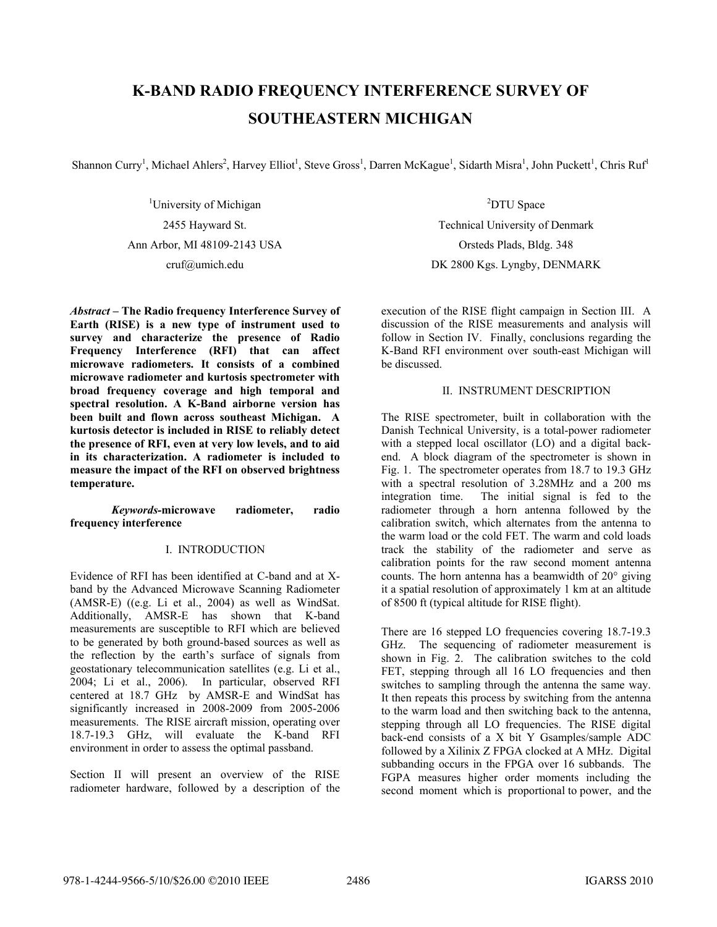# **K-BAND RADIO FREQUENCY INTERFERENCE SURVEY OF SOUTHEASTERN MICHIGAN**

Shannon Curry<sup>1</sup>, Michael Ahlers<sup>2</sup>, Harvey Elliot<sup>1</sup>, Steve Gross<sup>1</sup>, Darren McKague<sup>1</sup>, Sidarth Misra<sup>1</sup>, John Puckett<sup>1</sup>, Chris Ruf<sup>1</sup>

<sup>1</sup>University of Michigan 2455 Hayward St. Ann Arbor, MI 48109-2143 USA cruf@umich.edu

*Abstract –* **The Radio frequency Interference Survey of Earth (RISE) is a new type of instrument used to survey and characterize the presence of Radio Frequency Interference (RFI) that can affect microwave radiometers. It consists of a combined microwave radiometer and kurtosis spectrometer with broad frequency coverage and high temporal and spectral resolution. A K-Band airborne version has been built and flown across southeast Michigan. A kurtosis detector is included in RISE to reliably detect the presence of RFI, even at very low levels, and to aid in its characterization. A radiometer is included to measure the impact of the RFI on observed brightness temperature.** 

#### *Keywords-***microwave radiometer, radio frequency interference**

### I. INTRODUCTION

Evidence of RFI has been identified at C-band and at Xband by the Advanced Microwave Scanning Radiometer (AMSR-E) ((e.g. Li et al., 2004) as well as WindSat. Additionally, AMSR-E has shown that K-band measurements are susceptible to RFI which are believed to be generated by both ground-based sources as well as the reflection by the earth's surface of signals from geostationary telecommunication satellites (e.g. Li et al., 2004; Li et al., 2006). In particular, observed RFI centered at 18.7 GHz by AMSR-E and WindSat has significantly increased in 2008-2009 from 2005-2006 measurements. The RISE aircraft mission, operating over 18.7-19.3 GHz, will evaluate the K-band RFI environment in order to assess the optimal passband.

Section II will present an overview of the RISE radiometer hardware, followed by a description of the

<sup>2</sup>DTU Space Technical University of Denmark Orsteds Plads, Bldg. 348 DK 2800 Kgs. Lyngby, DENMARK

execution of the RISE flight campaign in Section III. A discussion of the RISE measurements and analysis will follow in Section IV. Finally, conclusions regarding the K-Band RFI environment over south-east Michigan will be discussed.

#### II. INSTRUMENT DESCRIPTION

The RISE spectrometer, built in collaboration with the Danish Technical University, is a total-power radiometer with a stepped local oscillator (LO) and a digital backend. A block diagram of the spectrometer is shown in Fig. 1. The spectrometer operates from 18.7 to 19.3 GHz with a spectral resolution of 3.28MHz and a 200 ms integration time. The initial signal is fed to the radiometer through a horn antenna followed by the calibration switch, which alternates from the antenna to the warm load or the cold FET. The warm and cold loads track the stability of the radiometer and serve as calibration points for the raw second moment antenna counts. The horn antenna has a beamwidth of 20° giving it a spatial resolution of approximately 1 km at an altitude of 8500 ft (typical altitude for RISE flight).

There are 16 stepped LO frequencies covering 18.7-19.3 GHz. The sequencing of radiometer measurement is shown in Fig. 2. The calibration switches to the cold FET, stepping through all 16 LO frequencies and then switches to sampling through the antenna the same way. It then repeats this process by switching from the antenna to the warm load and then switching back to the antenna, stepping through all LO frequencies. The RISE digital back-end consists of a X bit Y Gsamples/sample ADC followed by a Xilinix Z FPGA clocked at A MHz. Digital subbanding occurs in the FPGA over 16 subbands. The FGPA measures higher order moments including the second moment which is proportional to power, and the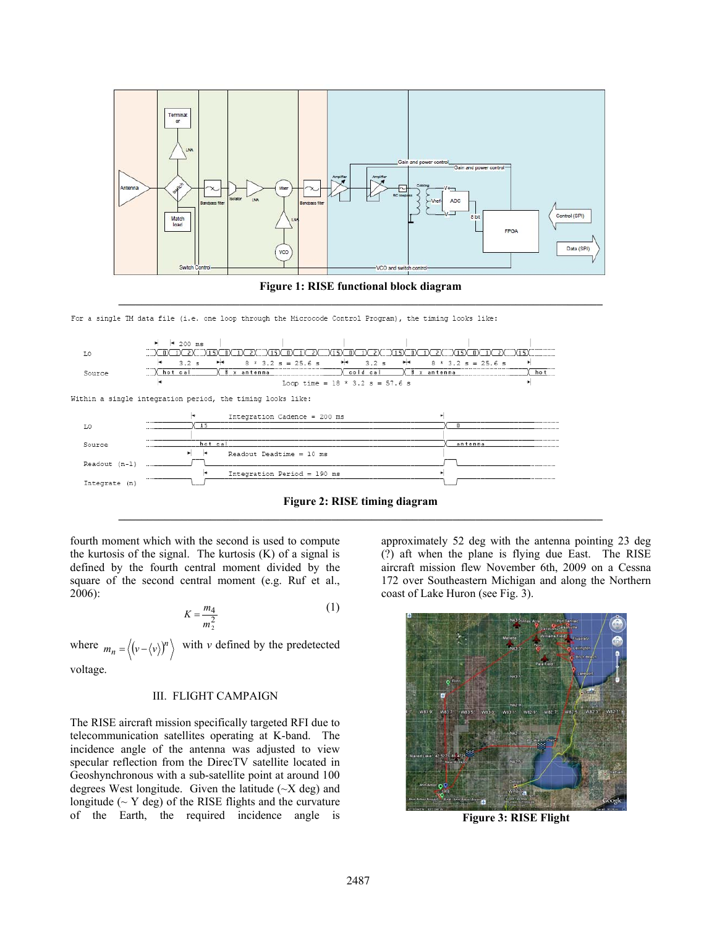

**Figure 1: RISE functional block diagram \_\_\_\_\_\_\_\_\_\_\_\_\_\_\_\_\_\_\_\_\_\_\_\_\_\_\_\_\_\_\_\_\_\_\_\_\_\_\_\_\_\_\_\_\_\_\_\_\_\_\_\_\_\_\_\_\_\_\_\_\_\_\_\_\_\_\_\_\_\_\_\_\_\_\_\_\_\_\_\_\_\_\_\_** 

For a single TM data file (i.e. one loop through the Microcode Control Program), the timing looks like:



fourth moment which with the second is used to compute the kurtosis of the signal. The kurtosis (K) of a signal is defined by the fourth central moment divided by the square of the second central moment (e.g. Ruf et al., 2006):

$$
K = \frac{m_4}{m_2^2} \tag{1}
$$

where  $m_n = \langle (v - \langle v \rangle)^n \rangle$  with *v* defined by the predetected

voltage.

#### III. FLIGHT CAMPAIGN

The RISE aircraft mission specifically targeted RFI due to telecommunication satellites operating at K-band. The incidence angle of the antenna was adjusted to view specular reflection from the DirecTV satellite located in Geoshynchronous with a sub-satellite point at around 100 degrees West longitude. Given the latitude  $(\sim X \text{ deg})$  and longitude ( $\sim$  Y deg) of the RISE flights and the curvature of the Earth, the required incidence angle is approximately 52 deg with the antenna pointing 23 deg (?) aft when the plane is flying due East. The RISE aircraft mission flew November 6th, 2009 on a Cessna 172 over Southeastern Michigan and along the Northern coast of Lake Huron (see Fig. 3).



**Figure 3: RISE Flight**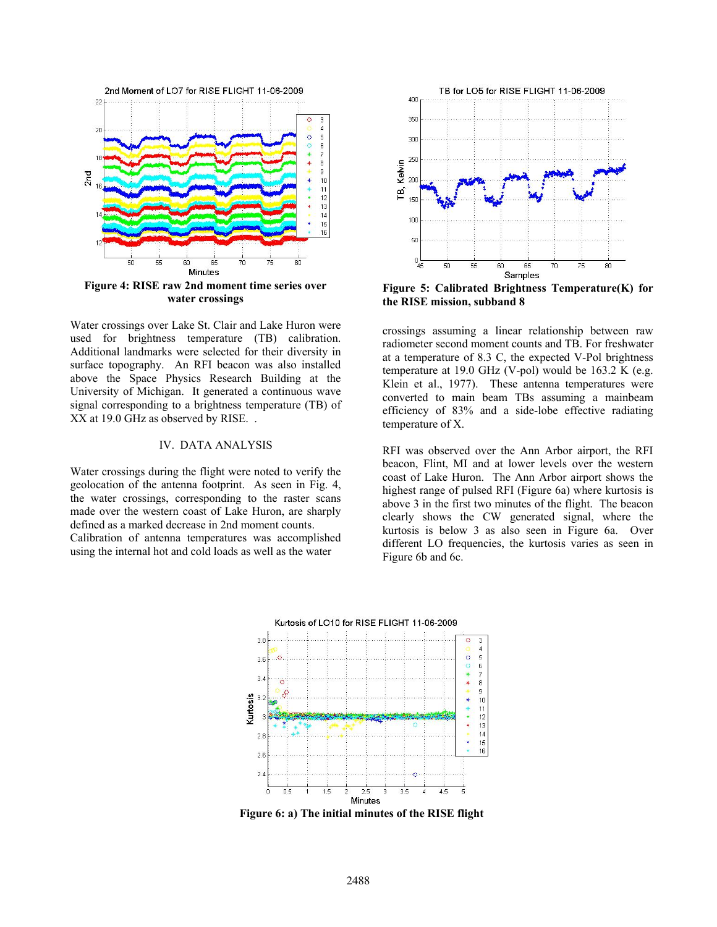

Water crossings over Lake St. Clair and Lake Huron were used for brightness temperature (TB) calibration. Additional landmarks were selected for their diversity in surface topography. An RFI beacon was also installed above the Space Physics Research Building at the University of Michigan. It generated a continuous wave signal corresponding to a brightness temperature (TB) of XX at 19.0 GHz as observed by RISE. .

#### IV. DATA ANALYSIS

Water crossings during the flight were noted to verify the geolocation of the antenna footprint. As seen in Fig. 4, the water crossings, corresponding to the raster scans made over the western coast of Lake Huron, are sharply defined as a marked decrease in 2nd moment counts. Calibration of antenna temperatures was accomplished using the internal hot and cold loads as well as the water



**Figure 5: Calibrated Brightness Temperature(K) for the RISE mission, subband 8** 

crossings assuming a linear relationship between raw radiometer second moment counts and TB. For freshwater at a temperature of 8.3 C, the expected V-Pol brightness temperature at 19.0 GHz (V-pol) would be 163.2 K (e.g. Klein et al., 1977). These antenna temperatures were converted to main beam TBs assuming a mainbeam efficiency of 83% and a side-lobe effective radiating temperature of X.

RFI was observed over the Ann Arbor airport, the RFI beacon, Flint, MI and at lower levels over the western coast of Lake Huron. The Ann Arbor airport shows the highest range of pulsed RFI (Figure 6a) where kurtosis is above 3 in the first two minutes of the flight. The beacon clearly shows the CW generated signal, where the kurtosis is below 3 as also seen in Figure 6a. Over different LO frequencies, the kurtosis varies as seen in Figure 6b and 6c.



**Figure 6: a) The initial minutes of the RISE flight**